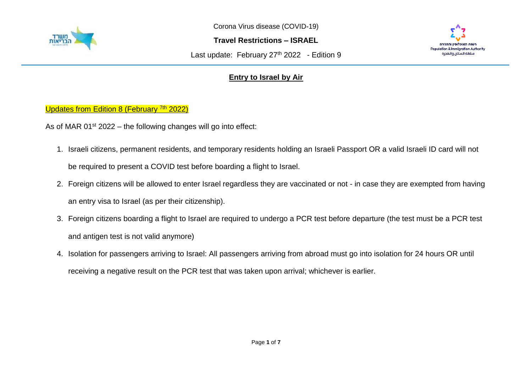

Corona Virus disease (COVID-19)

**Travel Restrictions – ISRAEL**

Last update: February  $27<sup>th</sup>$  2022 - Edition 9



## **Entry to Israel by Air**

Updates from Edition 8 (February <sup>7th</sup> 2022)

As of MAR  $01<sup>st</sup> 2022$  – the following changes will go into effect:

- 1. Israeli citizens, permanent residents, and temporary residents holding an Israeli Passport OR a valid Israeli ID card will not be required to present a COVID test before boarding a flight to Israel.
- 2. Foreign citizens will be allowed to enter Israel regardless they are vaccinated or not in case they are exempted from having an entry visa to Israel (as per their citizenship).
- 3. Foreign citizens boarding a flight to Israel are required to undergo a PCR test before departure (the test must be a PCR test and antigen test is not valid anymore)
- 4. Isolation for passengers arriving to Israel: All passengers arriving from abroad must go into isolation for 24 hours OR until receiving a negative result on the PCR test that was taken upon arrival; whichever is earlier.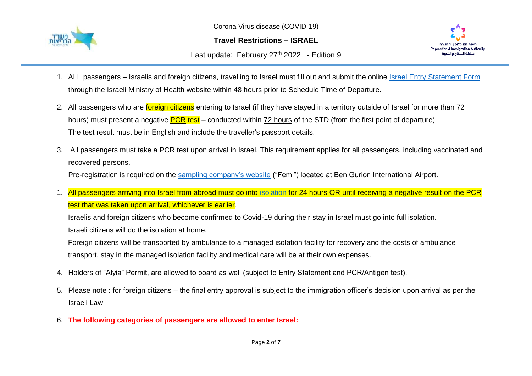

Corona Virus disease (COVID-19)

**Travel Restrictions – ISRAEL**

Last update: February  $27<sup>th</sup>$  2022 - Edition 9



- 1. ALL passengers Israelis and foreign citizens, travelling to Israel must fill out and submit the online [Israel Entry Statement Form](https://corona.health.gov.il/en/flights/?utm_source=go.gov.il&utm_medium=referral) through the Israeli Ministry of Health website within 48 hours prior to Schedule Time of Departure.
- 2. All passengers who are *foreign citizens* entering to Israel (if they have stayed in a territory outside of Israel for more than 72 hours) must present a negative **PCR test** – conducted within 72 hours of the STD (from the first point of departure) The test result must be in English and include the traveller's passport details.
- 3. All passengers must take a PCR test upon arrival in Israel. This requirement applies for all passengers, including vaccinated and recovered persons. Pre-registration is required on the [sampling company's website](https://testngo.femi.com/en/sign-in) ("Femi") located at Ben Gurion International Airport.
- 1. All passengers arriving into Israel from abroad must go into [isolation](https://corona.health.gov.il/en/abroad/isolation/) for 24 hours OR until receiving a negative result on the PCR test that was taken upon arrival, whichever is earlier.

Israelis and foreign citizens who become confirmed to Covid-19 during their stay in Israel must go into full isolation. Israeli citizens will do the isolation at home.

Foreign citizens will be transported by ambulance to a managed isolation facility for recovery and the costs of ambulance transport, stay in the managed isolation facility and medical care will be at their own expenses.

- 4. Holders of "Alyia" Permit, are allowed to board as well (subject to Entry Statement and PCR/Antigen test).
- 5. Please note : for foreign citizens the final entry approval is subject to the immigration officer's decision upon arrival as per the Israeli Law
- 6. **The following categories of passengers are allowed to enter Israel:**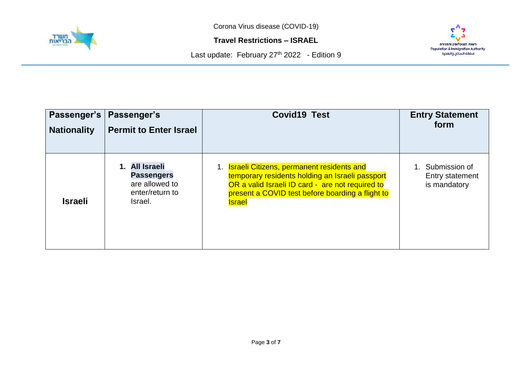

Corona Virus disease (COVID-19)

**Travel Restrictions – ISRAEL**





| Passenger's        | Passenger's                                                                         | <b>Covid19 Test</b>                                                                                                                                                                                                             | <b>Entry Statement</b>                              |
|--------------------|-------------------------------------------------------------------------------------|---------------------------------------------------------------------------------------------------------------------------------------------------------------------------------------------------------------------------------|-----------------------------------------------------|
| <b>Nationality</b> | <b>Permit to Enter Israel</b>                                                       |                                                                                                                                                                                                                                 | form                                                |
| <b>Israeli</b>     | 1. All Israeli<br><b>Passengers</b><br>are allowed to<br>enter/return to<br>Israel. | 1. <b>Israeli Citizens, permanent residents and</b><br>temporary residents holding an Israeli passport<br>OR a valid Israeli ID card - are not required to<br>present a COVID test before boarding a flight to<br><b>Israel</b> | 1. Submission of<br>Entry statement<br>is mandatory |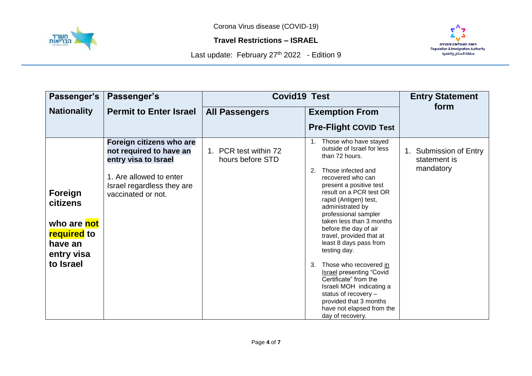



| Passenger's                                                                                                  | Passenger's                                                                                                                                                | <b>Covid19 Test</b>                       |                                                                                                                                                                                                                                                                                                                                                                                                                                                                                                                                                                                                            | <b>Entry Statement</b>                              |
|--------------------------------------------------------------------------------------------------------------|------------------------------------------------------------------------------------------------------------------------------------------------------------|-------------------------------------------|------------------------------------------------------------------------------------------------------------------------------------------------------------------------------------------------------------------------------------------------------------------------------------------------------------------------------------------------------------------------------------------------------------------------------------------------------------------------------------------------------------------------------------------------------------------------------------------------------------|-----------------------------------------------------|
| <b>Nationality</b>                                                                                           | <b>Permit to Enter Israel</b>                                                                                                                              | <b>All Passengers</b>                     | <b>Exemption From</b>                                                                                                                                                                                                                                                                                                                                                                                                                                                                                                                                                                                      | form                                                |
|                                                                                                              |                                                                                                                                                            |                                           | <b>Pre-Flight COVID Test</b>                                                                                                                                                                                                                                                                                                                                                                                                                                                                                                                                                                               |                                                     |
| <b>Foreign</b><br><b>citizens</b><br>who are not<br><b>required</b> to<br>have an<br>entry visa<br>to Israel | Foreign citizens who are<br>not required to have an<br>entry visa to Israel<br>1. Are allowed to enter<br>Israel regardless they are<br>vaccinated or not. | 1. PCR test within 72<br>hours before STD | 1. Those who have stayed<br>outside of Israel for less<br>than 72 hours.<br>Those infected and<br>2.<br>recovered who can<br>present a positive test<br>result on a PCR test OR<br>rapid (Antigen) test,<br>administrated by<br>professional sampler<br>taken less than 3 months<br>before the day of air<br>travel, provided that at<br>least 8 days pass from<br>testing day.<br>Those who recovered in<br>3.<br><b>Israel presenting "Covid</b><br>Certificate" from the<br>Israeli MOH indicating a<br>status of recovery -<br>provided that 3 months<br>have not elapsed from the<br>day of recovery. | 1. Submission of Entry<br>statement is<br>mandatory |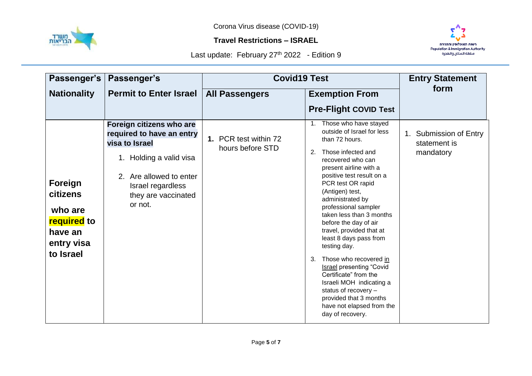



| Passenger's                                                                                | Passenger's                                                                                                                                                                          | <b>Covid19 Test</b>                       |                                                                                                                                                                                                                                                                                                                                                                                                                                                                                                                                                                                                                            | <b>Entry Statement</b>                              |
|--------------------------------------------------------------------------------------------|--------------------------------------------------------------------------------------------------------------------------------------------------------------------------------------|-------------------------------------------|----------------------------------------------------------------------------------------------------------------------------------------------------------------------------------------------------------------------------------------------------------------------------------------------------------------------------------------------------------------------------------------------------------------------------------------------------------------------------------------------------------------------------------------------------------------------------------------------------------------------------|-----------------------------------------------------|
| <b>Nationality</b>                                                                         | <b>Permit to Enter Israel</b>                                                                                                                                                        | <b>All Passengers</b>                     | <b>Exemption From</b>                                                                                                                                                                                                                                                                                                                                                                                                                                                                                                                                                                                                      | form                                                |
|                                                                                            |                                                                                                                                                                                      |                                           | <b>Pre-Flight COVID Test</b>                                                                                                                                                                                                                                                                                                                                                                                                                                                                                                                                                                                               |                                                     |
| Foreign<br>citizens<br>who are<br><b>required</b> to<br>have an<br>entry visa<br>to Israel | Foreign citizens who are<br>required to have an entry<br>visa to Israel<br>1. Holding a valid visa<br>2. Are allowed to enter<br>Israel regardless<br>they are vaccinated<br>or not. | 1. PCR test within 72<br>hours before STD | 1. Those who have stayed<br>outside of Israel for less<br>than 72 hours.<br>Those infected and<br>2.<br>recovered who can<br>present airline with a<br>positive test result on a<br>PCR test OR rapid<br>(Antigen) test,<br>administrated by<br>professional sampler<br>taken less than 3 months<br>before the day of air<br>travel, provided that at<br>least 8 days pass from<br>testing day.<br>Those who recovered in<br>3.<br><b>Israel presenting "Covid</b><br>Certificate" from the<br>Israeli MOH indicating a<br>status of recovery -<br>provided that 3 months<br>have not elapsed from the<br>day of recovery. | 1. Submission of Entry<br>statement is<br>mandatory |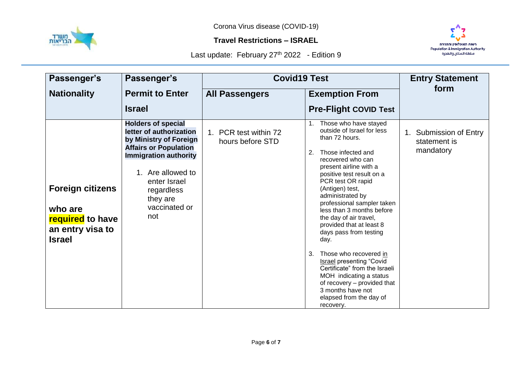



| Passenger's                                                                                        | Passenger's                                                                                                                                                                                                                           | <b>Covid19 Test</b>                       |                                                                                                                                                                                                                                                                                                                                                                                                                                                                                                                                                                                                                         | <b>Entry Statement</b>                              |
|----------------------------------------------------------------------------------------------------|---------------------------------------------------------------------------------------------------------------------------------------------------------------------------------------------------------------------------------------|-------------------------------------------|-------------------------------------------------------------------------------------------------------------------------------------------------------------------------------------------------------------------------------------------------------------------------------------------------------------------------------------------------------------------------------------------------------------------------------------------------------------------------------------------------------------------------------------------------------------------------------------------------------------------------|-----------------------------------------------------|
| <b>Nationality</b>                                                                                 | <b>Permit to Enter</b>                                                                                                                                                                                                                | <b>All Passengers</b>                     | <b>Exemption From</b>                                                                                                                                                                                                                                                                                                                                                                                                                                                                                                                                                                                                   | form                                                |
|                                                                                                    | <b>Israel</b>                                                                                                                                                                                                                         |                                           | <b>Pre-Flight COVID Test</b>                                                                                                                                                                                                                                                                                                                                                                                                                                                                                                                                                                                            |                                                     |
| <b>Foreign citizens</b><br>who are<br><b>required</b> to have<br>an entry visa to<br><b>Israel</b> | <b>Holders of special</b><br>letter of authorization<br>by Ministry of Foreign<br><b>Affairs or Population</b><br><b>Immigration authority</b><br>1. Are allowed to<br>enter Israel<br>regardless<br>they are<br>vaccinated or<br>not | 1. PCR test within 72<br>hours before STD | Those who have stayed<br>outside of Israel for less<br>than 72 hours.<br>Those infected and<br>2.<br>recovered who can<br>present airline with a<br>positive test result on a<br>PCR test OR rapid<br>(Antigen) test,<br>administrated by<br>professional sampler taken<br>less than 3 months before<br>the day of air travel,<br>provided that at least 8<br>days pass from testing<br>day.<br>Those who recovered in<br>3.<br><b>Israel presenting "Covid</b><br>Certificate" from the Israeli<br>MOH indicating a status<br>of recovery - provided that<br>3 months have not<br>elapsed from the day of<br>recovery. | 1. Submission of Entry<br>statement is<br>mandatory |